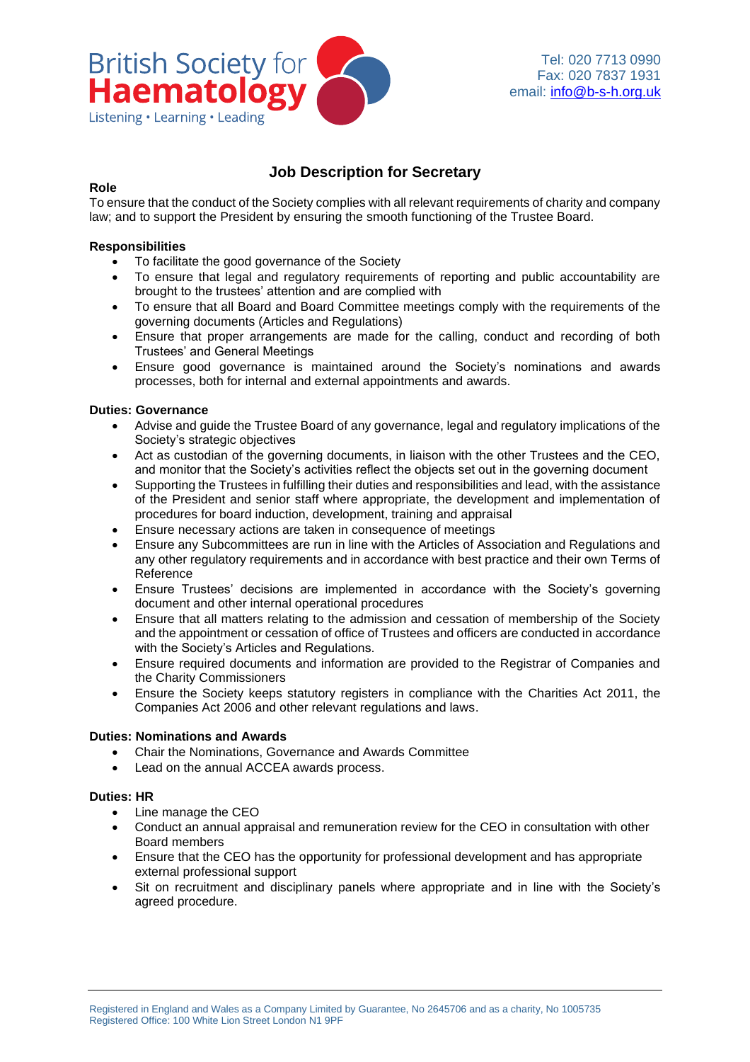

# **Job Description for Secretary**

#### **Role**

To ensure that the conduct of the Society complies with all relevant requirements of charity and company law; and to support the President by ensuring the smooth functioning of the Trustee Board.

#### **Responsibilities**

- To facilitate the good governance of the Society
- To ensure that legal and regulatory requirements of reporting and public accountability are brought to the trustees' attention and are complied with
- To ensure that all Board and Board Committee meetings comply with the requirements of the governing documents (Articles and Regulations)
- Ensure that proper arrangements are made for the calling, conduct and recording of both Trustees' and General Meetings
- Ensure good governance is maintained around the Society's nominations and awards processes, both for internal and external appointments and awards.

## **Duties: Governance**

- Advise and guide the Trustee Board of any governance, legal and regulatory implications of the Society's strategic objectives
- Act as custodian of the governing documents, in liaison with the other Trustees and the CEO, and monitor that the Society's activities reflect the objects set out in the governing document
- Supporting the Trustees in fulfilling their duties and responsibilities and lead, with the assistance of the President and senior staff where appropriate, the development and implementation of procedures for board induction, development, training and appraisal
- Ensure necessary actions are taken in consequence of meetings
- Ensure any Subcommittees are run in line with the Articles of Association and Regulations and any other regulatory requirements and in accordance with best practice and their own Terms of Reference
- Ensure Trustees' decisions are implemented in accordance with the Society's governing document and other internal operational procedures
- Ensure that all matters relating to the admission and cessation of membership of the Society and the appointment or cessation of office of Trustees and officers are conducted in accordance with the Society's Articles and Regulations.
- Ensure required documents and information are provided to the Registrar of Companies and the Charity Commissioners
- Ensure the Society keeps statutory registers in compliance with the Charities Act 2011, the Companies Act 2006 and other relevant regulations and laws.

#### **Duties: Nominations and Awards**

- Chair the Nominations, Governance and Awards Committee
- Lead on the annual ACCEA awards process.

#### **Duties: HR**

- Line manage the CEO
- Conduct an annual appraisal and remuneration review for the CEO in consultation with other Board members
- Ensure that the CEO has the opportunity for professional development and has appropriate external professional support
- Sit on recruitment and disciplinary panels where appropriate and in line with the Society's agreed procedure.